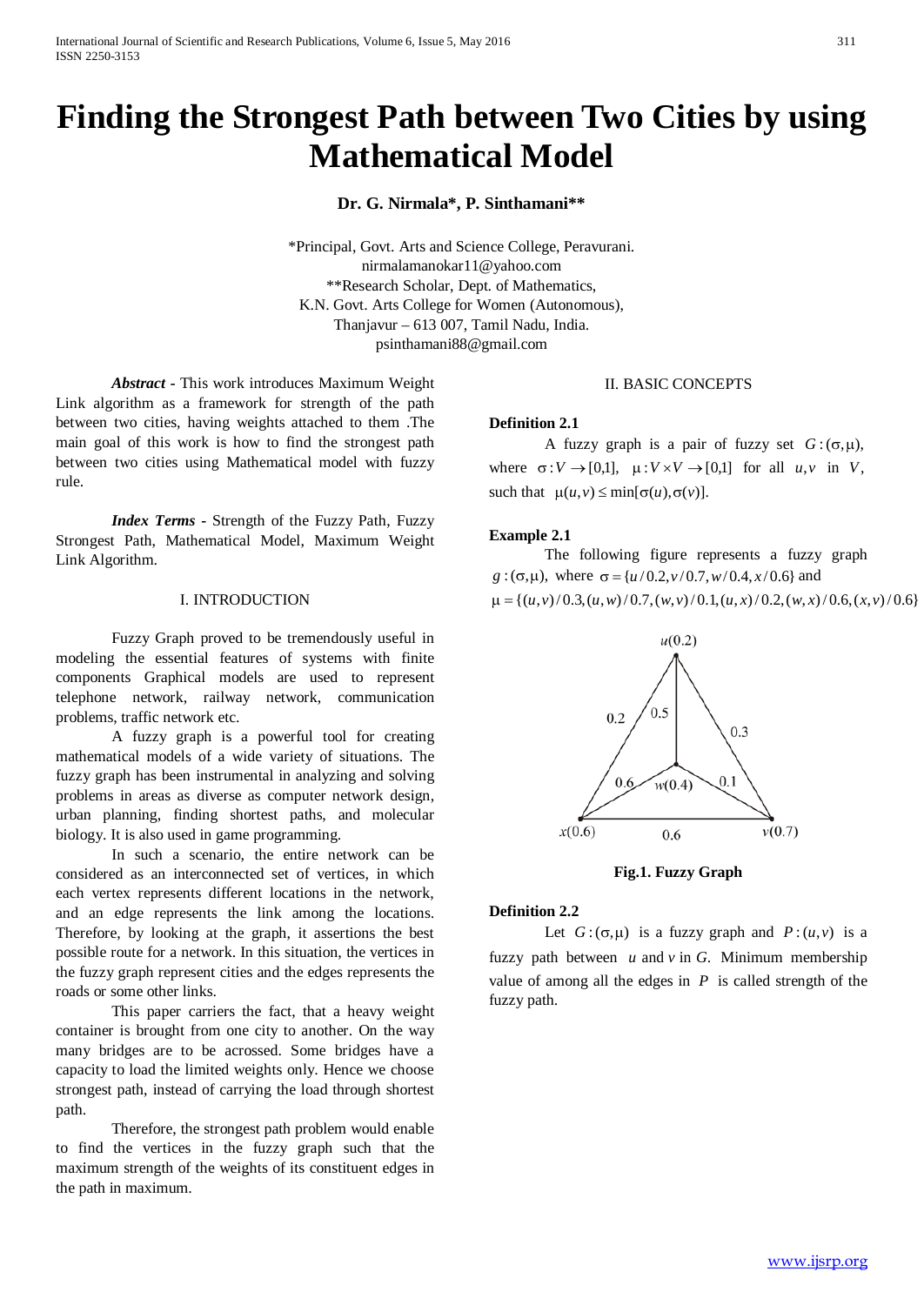# **Finding the Strongest Path between Two Cities by using Mathematical Model**

**Dr. G. Nirmala\*, P. Sinthamani\*\***

\*Principal, Govt. Arts and Science College, Peravurani. nirmalamanokar11@yahoo.com \*\*Research Scholar, Dept. of Mathematics, K.N. Govt. Arts College for Women (Autonomous), Thanjavur – 613 007, Tamil Nadu, India. psinthamani88@gmail.com

*Abstract -* This work introduces Maximum Weight Link algorithm as a framework for strength of the path between two cities, having weights attached to them .The main goal of this work is how to find the strongest path between two cities using Mathematical model with fuzzy rule.

*Index Terms* **-** Strength of the Fuzzy Path, Fuzzy Strongest Path, Mathematical Model, Maximum Weight Link Algorithm.

#### I. INTRODUCTION

Fuzzy Graph proved to be tremendously useful in modeling the essential features of systems with finite components Graphical models are used to represent telephone network, railway network, communication problems, traffic network etc.

A fuzzy graph is a powerful tool for creating mathematical models of a wide variety of situations. The fuzzy graph has been instrumental in analyzing and solving problems in areas as diverse as computer network design, urban planning, finding shortest paths, and molecular biology. It is also used in game programming.

In such a scenario, the entire network can be considered as an interconnected set of vertices, in which each vertex represents different locations in the network, and an edge represents the link among the locations. Therefore, by looking at the graph, it assertions the best possible route for a network. In this situation, the vertices in the fuzzy graph represent cities and the edges represents the roads or some other links.

This paper carriers the fact, that a heavy weight container is brought from one city to another. On the way many bridges are to be acrossed. Some bridges have a capacity to load the limited weights only. Hence we choose strongest path, instead of carrying the load through shortest path.

Therefore, the strongest path problem would enable to find the vertices in the fuzzy graph such that the maximum strength of the weights of its constituent edges in the path in maximum.

# II. BASIC CONCEPTS

#### **Definition 2.1**

A fuzzy graph is a pair of fuzzy set  $G: (\sigma, \mu)$ , where  $\sigma: V \to [0,1]$ ,  $\mu: V \times V \to [0,1]$  for all  $u, v$  in *V*, such that  $\mu(u, v) \le \min[\sigma(u), \sigma(v)].$ 

#### **Example 2.1**

The following figure represents a fuzzy graph *g* : ( $\sigma$ , $\mu$ ), where  $\sigma$  = { $u/0.2$ ,  $v/0.7$ ,  $w/0.4$ ,  $x/0.6$ } and  $\mu = \{(u,v)/0.3,(u,w)/0.7,(w,v)/0.1,(u,x)/0.2,(w,x)/0.6,(x,v)/0.6\}$ 



**Fig.1. Fuzzy Graph**

#### **Definition 2.2**

Let  $G: (\sigma, \mu)$  is a fuzzy graph and  $P: (u, v)$  is a fuzzy path between  $u$  and  $v$  in  $G$ . Minimum membership value of among all the edges in *P* is called strength of the fuzzy path.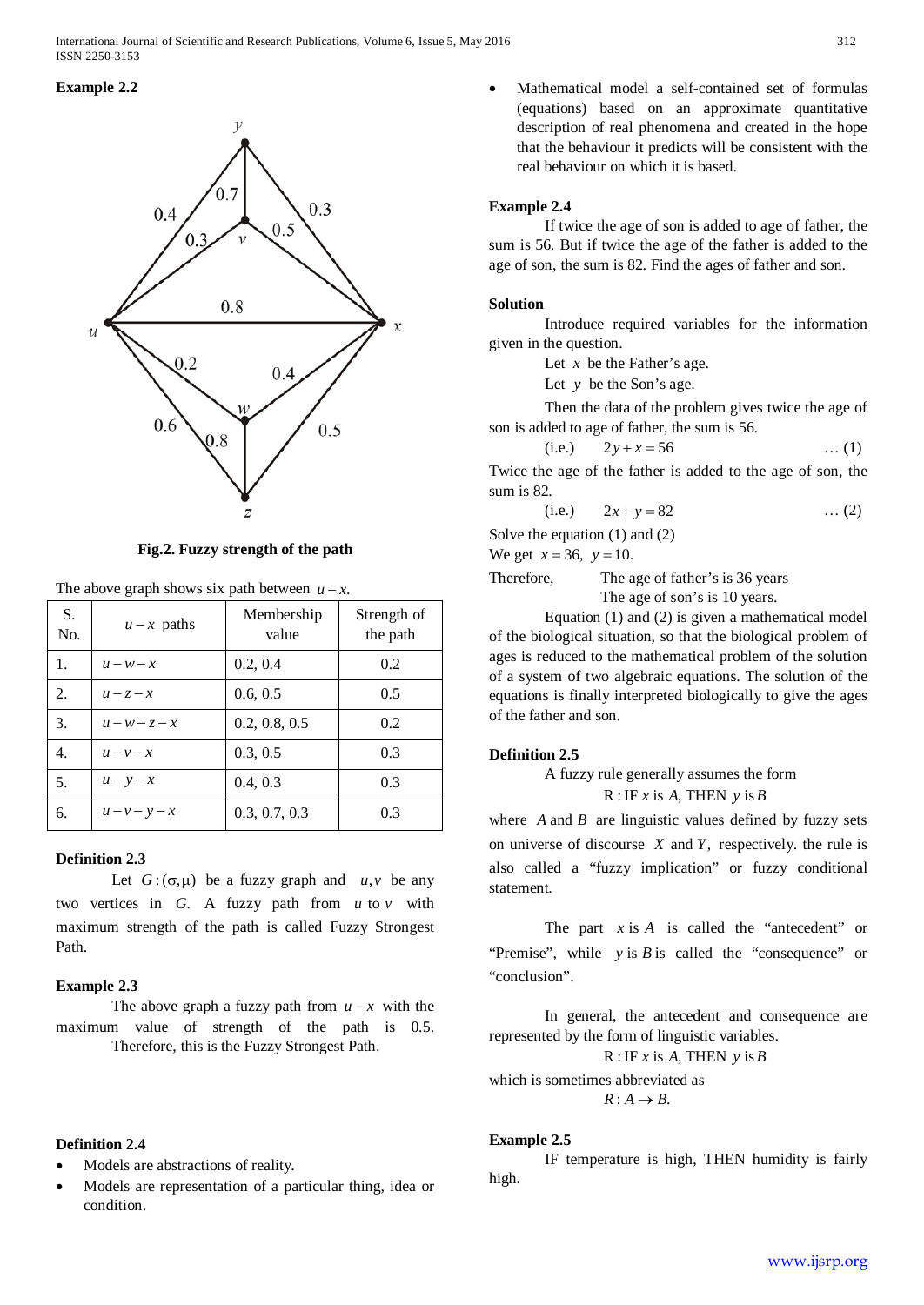# **Example 2.2**



**Fig.2. Fuzzy strength of the path**

| S.<br>No. | $u - x$ paths | Membership<br>value | Strength of<br>the path |
|-----------|---------------|---------------------|-------------------------|
| 1.        | $u - w - x$   | 0.2, 0.4            | 0.2                     |
| 2.        | $u-z-x$       | 0.6, 0.5            | 0.5                     |
| 3.        | $u-w-z-x$     | 0.2, 0.8, 0.5       | 0.2                     |
| 4.        | $u-v-x$       | 0.3, 0.5            | 0.3                     |
| 5.        | $u - y - x$   | 0.4, 0.3            | 0.3                     |
| 6.        | $u-v-y-x$     | 0.3, 0.7, 0.3       | 0.3                     |

#### The above graph shows six path between  $u - x$ .

# **Definition 2.3**

Let  $G: (\sigma, \mu)$  be a fuzzy graph and  $u, v$  be any two vertices in *G*. A fuzzy path from *u* to *v* with maximum strength of the path is called Fuzzy Strongest Path.

# **Example 2.3**

The above graph a fuzzy path from  $u - x$  with the maximum value of strength of the path is 0.5. Therefore, this is the Fuzzy Strongest Path.

# **Definition 2.4**

- Models are abstractions of reality.
- Models are representation of a particular thing, idea or condition.

• Mathematical model a self-contained set of formulas (equations) based on an approximate quantitative description of real phenomena and created in the hope that the behaviour it predicts will be consistent with the real behaviour on which it is based.

# **Example 2.4**

If twice the age of son is added to age of father, the sum is 56. But if twice the age of the father is added to the age of son, the sum is 82. Find the ages of father and son.

# **Solution**

Introduce required variables for the information given in the question.

Let  $x$  be the Father's age.

Let *y* be the Son's age.

Then the data of the problem gives twice the age of son is added to age of father, the sum is 56.

(i.e.) 
$$
2y + x = 56
$$
 ... (1)

Twice the age of the father is added to the age of son, the sum is 82.

(i.e.) 
$$
2x + y = 82
$$
 ... (2)

Solve the equation (1) and (2)

We get  $x = 36$ ,  $y = 10$ .

Therefore, The age of father's is 36 years

The age of son's is 10 years.

Equation (1) and (2) is given a mathematical model of the biological situation, so that the biological problem of ages is reduced to the mathematical problem of the solution of a system of two algebraic equations. The solution of the equations is finally interpreted biologically to give the ages of the father and son.

# **Definition 2.5**

A fuzzy rule generally assumes the form R :IF *x* is *A*, THEN *y* is*B*

where  $\vec{A}$  and  $\vec{B}$  are linguistic values defined by fuzzy sets on universe of discourse *X* and *Y*, respectively. the rule is also called a "fuzzy implication" or fuzzy conditional statement.

The part *x* is *A* is called the "antecedent" or "Premise", while *y* is *B* is called the "consequence" or "conclusion".

In general, the antecedent and consequence are represented by the form of linguistic variables.

R :IF *x* is *A*, THEN *y* is*B*

which is sometimes abbreviated as

 $R: A \rightarrow B$ .

# **Example 2.5**

IF temperature is high, THEN humidity is fairly high.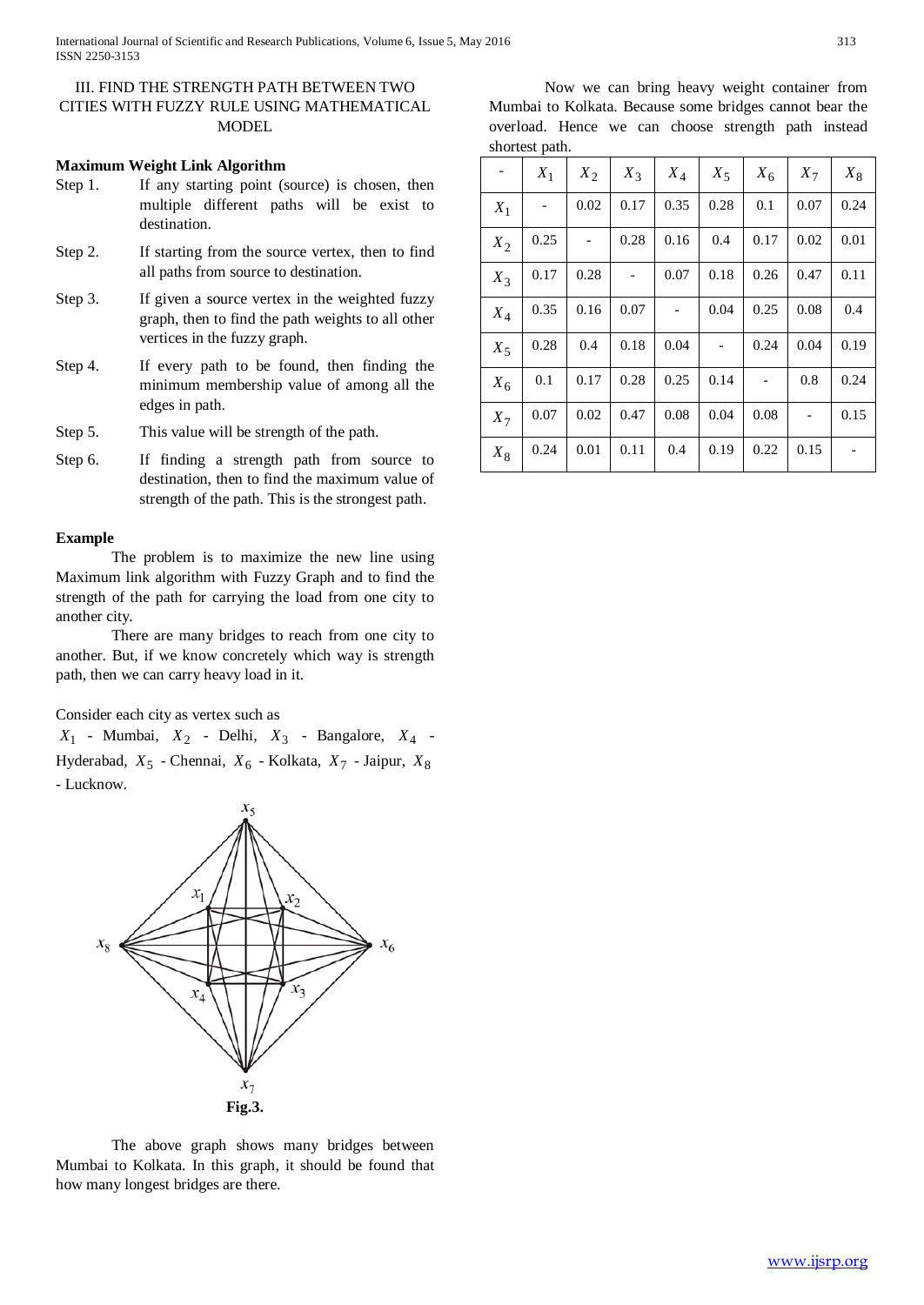# III. FIND THE STRENGTH PATH BETWEEN TWO CITIES WITH FUZZY RULE USING MATHEMATICAL **MODEL**

# **Maximum Weight Link Algorithm**

- Step 1. If any starting point (source) is chosen, then multiple different paths will be exist to destination.
- Step 2. If starting from the source vertex, then to find all paths from source to destination.
- Step 3. If given a source vertex in the weighted fuzzy graph, then to find the path weights to all other vertices in the fuzzy graph.
- Step 4. If every path to be found, then finding the minimum membership value of among all the edges in path.
- Step 5. This value will be strength of the path.
- Step 6. If finding a strength path from source to destination, then to find the maximum value of strength of the path. This is the strongest path.

# **Example**

The problem is to maximize the new line using Maximum link algorithm with Fuzzy Graph and to find the strength of the path for carrying the load from one city to another city.

There are many bridges to reach from one city to another. But, if we know concretely which way is strength path, then we can carry heavy load in it.

Consider each city as vertex such as

*X*<sup>1</sup> - Mumbai, *X*<sup>2</sup> - Delhi, *X*<sup>3</sup> - Bangalore, *X*<sup>4</sup> - Hyderabad, *X*<sup>5</sup> - Chennai, *X*<sup>6</sup> - Kolkata, *X*<sup>7</sup> - Jaipur, *X*<sup>8</sup> - Lucknow.



The above graph shows many bridges between Mumbai to Kolkata. In this graph, it should be found that how many longest bridges are there.

Now we can bring heavy weight container from Mumbai to Kolkata. Because some bridges cannot bear the overload. Hence we can choose strength path instead shortest path.

|       | $X_1$ | $X_2$ | $X_3$ | $X_4$ | $X_5$ | $X_6$ | $X_7$ | $X_8$ |
|-------|-------|-------|-------|-------|-------|-------|-------|-------|
| $X_1$ |       | 0.02  | 0.17  | 0.35  | 0.28  | 0.1   | 0.07  | 0.24  |
| $X_2$ | 0.25  |       | 0.28  | 0.16  | 0.4   | 0.17  | 0.02  | 0.01  |
| $X_3$ | 0.17  | 0.28  |       | 0.07  | 0.18  | 0.26  | 0.47  | 0.11  |
| $X_4$ | 0.35  | 0.16  | 0.07  |       | 0.04  | 0.25  | 0.08  | 0.4   |
| $X_5$ | 0.28  | 0.4   | 0.18  | 0.04  |       | 0.24  | 0.04  | 0.19  |
| $X_6$ | 0.1   | 0.17  | 0.28  | 0.25  | 0.14  |       | 0.8   | 0.24  |
| $X_7$ | 0.07  | 0.02  | 0.47  | 0.08  | 0.04  | 0.08  |       | 0.15  |
| $X_8$ | 0.24  | 0.01  | 0.11  | 0.4   | 0.19  | 0.22  | 0.15  |       |